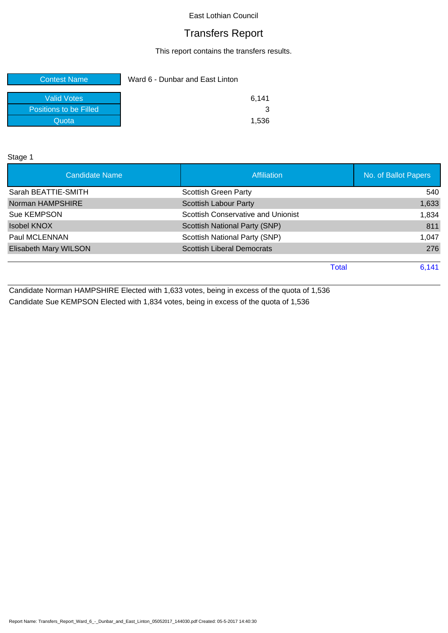# Transfers Report

This report contains the transfers results.

| <b>Contest Name</b>    | Ward 6 - Dunbar and East Linton |       |
|------------------------|---------------------------------|-------|
| <b>Valid Votes</b>     |                                 | 6.141 |
| Positions to be Filled |                                 |       |
| Quota                  |                                 | 1.536 |

Stage 1

| <b>Candidate Name</b> | <b>Affiliation</b>                 | No. of Ballot Papers |
|-----------------------|------------------------------------|----------------------|
| Sarah BEATTIE-SMITH   | <b>Scottish Green Party</b>        | 540                  |
| Norman HAMPSHIRE      | <b>Scottish Labour Party</b>       | 1,633                |
| Sue KEMPSON           | Scottish Conservative and Unionist | 1,834                |
| <b>Isobel KNOX</b>    | Scottish National Party (SNP)      | 811                  |
| Paul MCLENNAN         | Scottish National Party (SNP)      | 1,047                |
| Elisabeth Mary WILSON | <b>Scottish Liberal Democrats</b>  | 276                  |
|                       | <b>Total</b>                       | 6,141                |
|                       |                                    |                      |

Candidate Norman HAMPSHIRE Elected with 1,633 votes, being in excess of the quota of 1,536 Candidate Sue KEMPSON Elected with 1,834 votes, being in excess of the quota of 1,536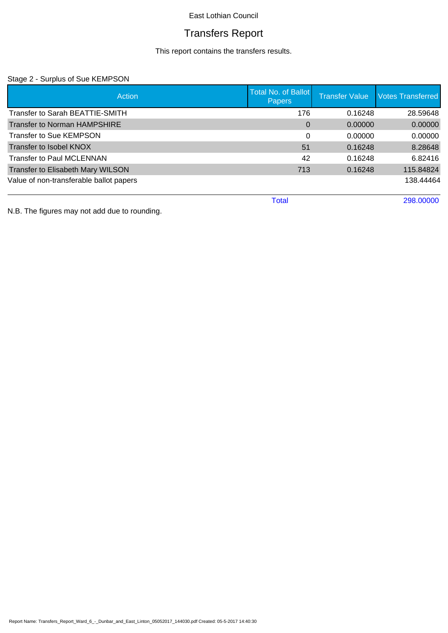# Transfers Report

This report contains the transfers results.

### Stage 2 - Surplus of Sue KEMPSON

| Action                                  | <b>Total No. of Ballot</b><br><b>Papers</b> | <b>Transfer Value</b> | <b>Votes Transferred</b> |
|-----------------------------------------|---------------------------------------------|-----------------------|--------------------------|
| Transfer to Sarah BEATTIE-SMITH         | 176                                         | 0.16248               | 28.59648                 |
| <b>Transfer to Norman HAMPSHIRE</b>     | $\Omega$                                    | 0.00000               | 0.00000                  |
| <b>Transfer to Sue KEMPSON</b>          | 0                                           | 0.00000               | 0.00000                  |
| Transfer to Isobel KNOX                 | 51                                          | 0.16248               | 8.28648                  |
| Transfer to Paul MCLENNAN               | 42                                          | 0.16248               | 6.82416                  |
| Transfer to Elisabeth Mary WILSON       | 713                                         | 0.16248               | 115.84824                |
| Value of non-transferable ballot papers |                                             |                       | 138.44464                |
|                                         | <b>Total</b>                                |                       | 298,00000                |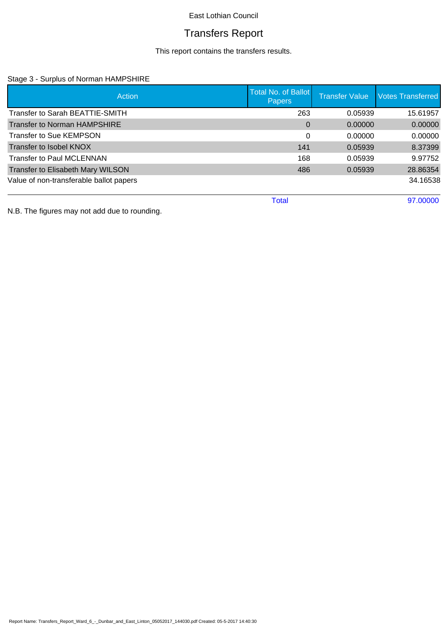# Transfers Report

This report contains the transfers results.

### Stage 3 - Surplus of Norman HAMPSHIRE

| Action                                   | <b>Total No. of Ballot</b><br>Papers | <b>Transfer Value</b> | <b>Votes Transferred</b> |
|------------------------------------------|--------------------------------------|-----------------------|--------------------------|
| Transfer to Sarah BEATTIE-SMITH          | 263                                  | 0.05939               | 15.61957                 |
| <b>Transfer to Norman HAMPSHIRE</b>      | $\Omega$                             | 0.00000               | 0.00000                  |
| <b>Transfer to Sue KEMPSON</b>           | $\Omega$                             | 0.00000               | 0.00000                  |
| Transfer to Isobel KNOX                  | 141                                  | 0.05939               | 8.37399                  |
| <b>Transfer to Paul MCLENNAN</b>         | 168                                  | 0.05939               | 9.97752                  |
| <b>Transfer to Elisabeth Mary WILSON</b> | 486                                  | 0.05939               | 28.86354                 |
| Value of non-transferable ballot papers  |                                      |                       | 34.16538                 |
|                                          | <b>Total</b>                         |                       | 97,00000                 |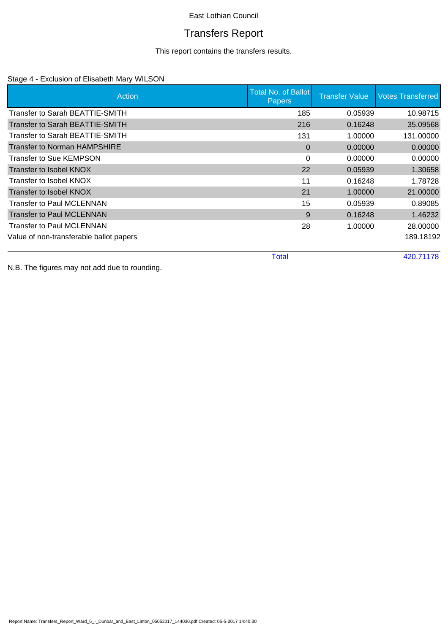# Transfers Report

This report contains the transfers results.

### Stage 4 - Exclusion of Elisabeth Mary WILSON

| Action                                  | Total No. of Ballot<br><b>Papers</b> | <b>Transfer Value</b> | <b>Votes Transferred</b> |
|-----------------------------------------|--------------------------------------|-----------------------|--------------------------|
| Transfer to Sarah BEATTIE-SMITH         | 185                                  | 0.05939               | 10.98715                 |
| Transfer to Sarah BEATTIE-SMITH         | 216                                  | 0.16248               | 35.09568                 |
| Transfer to Sarah BEATTIE-SMITH         | 131                                  | 1.00000               | 131.00000                |
| Transfer to Norman HAMPSHIRE            | $\Omega$                             | 0.00000               | 0.00000                  |
| <b>Transfer to Sue KEMPSON</b>          | 0                                    | 0.00000               | 0.00000                  |
| Transfer to Isobel KNOX                 | 22                                   | 0.05939               | 1.30658                  |
| Transfer to Isobel KNOX                 | 11                                   | 0.16248               | 1.78728                  |
| Transfer to Isobel KNOX                 | 21                                   | 1.00000               | 21.00000                 |
| Transfer to Paul MCLENNAN               | 15                                   | 0.05939               | 0.89085                  |
| <b>Transfer to Paul MCLENNAN</b>        | 9                                    | 0.16248               | 1.46232                  |
| <b>Transfer to Paul MCLENNAN</b>        | 28                                   | 1.00000               | 28.00000                 |
| Value of non-transferable ballot papers |                                      |                       | 189.18192                |

Total 420.71178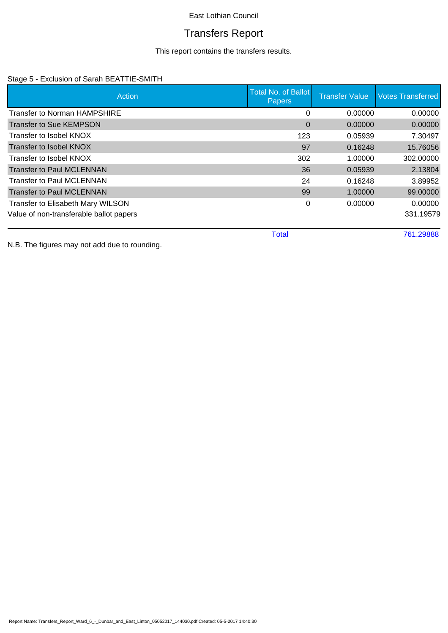# Transfers Report

This report contains the transfers results.

### Stage 5 - Exclusion of Sarah BEATTIE-SMITH

| Action                                  | <b>Total No. of Ballot</b><br><b>Papers</b> | <b>Transfer Value</b> | <b>Votes Transferred</b> |
|-----------------------------------------|---------------------------------------------|-----------------------|--------------------------|
| Transfer to Norman HAMPSHIRE            | 0                                           | 0.00000               | 0.00000                  |
| <b>Transfer to Sue KEMPSON</b>          | $\Omega$                                    | 0.00000               | 0.00000                  |
| Transfer to Isobel KNOX                 | 123                                         | 0.05939               | 7.30497                  |
| Transfer to Isobel KNOX                 | 97                                          | 0.16248               | 15.76056                 |
| Transfer to Isobel KNOX                 | 302                                         | 1.00000               | 302.00000                |
| <b>Transfer to Paul MCLENNAN</b>        | 36                                          | 0.05939               | 2.13804                  |
| <b>Transfer to Paul MCLENNAN</b>        | 24                                          | 0.16248               | 3.89952                  |
| <b>Transfer to Paul MCLENNAN</b>        | 99                                          | 1.00000               | 99.00000                 |
| Transfer to Elisabeth Mary WILSON       | 0                                           | 0.00000               | 0.00000                  |
| Value of non-transferable ballot papers |                                             |                       | 331.19579                |
|                                         | <b>Total</b>                                |                       | 761.29888                |